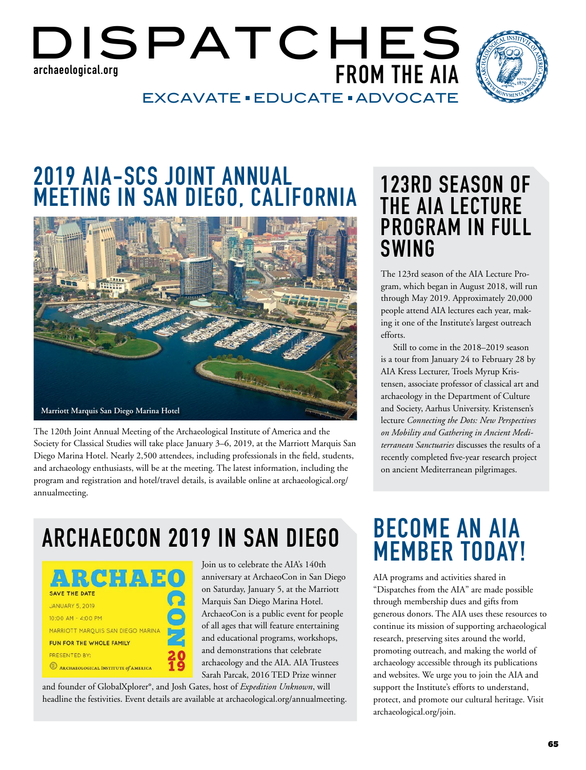### DISPATCHES **FROM THE AIA** EXCAVATE · EDUCATE · ADVOCATE **archaeological.org**



# **2019 AIA-SCS JOINT ANNUAL MEETING IN SAN DIEGO, CALIFORNIA**



The 120th Joint Annual Meeting of the Archaeological Institute of America and the Society for Classical Studies will take place January 3–6, 2019, at the Marriott Marquis San Diego Marina Hotel. Nearly 2,500 attendees, including professionals in the field, students, and archaeology enthusiasts, will be at the meeting. The latest information, including the program and registration and hotel/travel details, is available online at archaeological.org/ annualmeeting.

# **123RD SEASON OF THE AIA LECTURE PROGRAM IN FULL SWING**

The 123rd season of the AIA Lecture Program, which began in August 2018, will run through May 2019. Approximately 20,000 people attend AIA lectures each year, making it one of the Institute's largest outreach efforts.

Still to come in the 2018–2019 season is a tour from January 24 to February 28 by AIA Kress Lecturer, Troels Myrup Kristensen, associate professor of classical art and archaeology in the Department of Culture and Society, Aarhus University. Kristensen's lecture *Connecting the Dots: New Perspectives on Mobility and Gathering in Ancient Mediterranean Sanctuaries* discusses the results of a recently completed five-year research project on ancient Mediterranean pilgrimages.

# **ARCHAEOCON 2019 IN SAN DIEGO BECOME AN AIA**

| $CI$ : $U$                          |  |
|-------------------------------------|--|
| <b>SAVE THE DATE</b>                |  |
| JANUARY 5, 2019                     |  |
| 10:00 AM - 4:00 PM                  |  |
| MARRIOTT MARQUIS SAN DIEGO MARINA   |  |
| FUN FOR THE WHOLE FAMILY            |  |
| PRESENTED BY:                       |  |
| ARCHAEOLOGICAL INSTITUTE of AMERICA |  |
|                                     |  |

Join us to celebrate the AIA's 140th anniversary at ArchaeoCon in San Diego on Saturday, January 5, at the Marriott Marquis San Diego Marina Hotel. ArchaeoCon is a public event for people of all ages that will feature entertaining and educational programs, workshops, and demonstrations that celebrate archaeology and the AIA. AIA Trustees Sarah Parcak, 2016 TED Prize winner

and founder of GlobalXplorer°, and Josh Gates, host of *Expedition Unknown*, will headline the festivities. Event details are available at archaeological.org/annualmeeting.

# **MEMBER TODAY!**

AIA programs and activities shared in "Dispatches from the AIA" are made possible through membership dues and gifts from generous donors. The AIA uses these resources to continue its mission of supporting archaeological research, preserving sites around the world, promoting outreach, and making the world of archaeology accessible through its publications and websites. We urge you to join the AIA and support the Institute's efforts to understand, protect, and promote our cultural heritage. Visit archaeological.org/join.